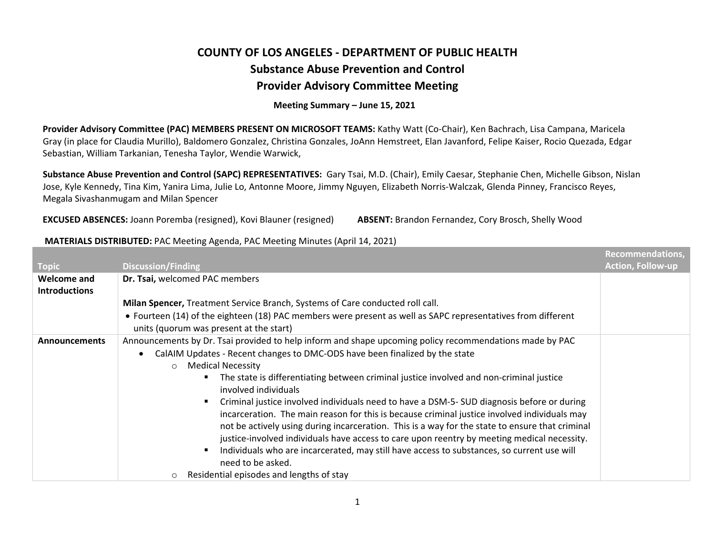## **COUNTY OF LOS ANGELES ‐ DEPARTMENT OF PUBLIC HEALTHSubstance Abuse Prevention and Control Provider Advisory Committee Meeting**

**Meeting Summary – June 15, 2021**

**Provider Advisory Committee (PAC) MEMBERS PRESENT ON MICROSOFT TEAMS:** Kathy Watt (Co‐Chair), Ken Bachrach, Lisa Campana, Maricela Gray (in place for Claudia Murillo), Baldomero Gonzalez, Christina Gonzales, JoAnn Hemstreet, Elan Javanford, Felipe Kaiser, Rocio Quezada, Edgar Sebastian, William Tarkanian, Tenesha Taylor, Wendie Warwick,

**Substance Abuse Prevention and Control (SAPC) REPRESENTATIVES:** Gary Tsai, M.D. (Chair), Emily Caesar, Stephanie Chen, Michelle Gibson, Nislan Jose, Kyle Kennedy, Tina Kim, Yanira Lima, Julie Lo, Antonne Moore, Jimmy Nguyen, Elizabeth Norris‐Walczak, Glenda Pinney, Francisco Reyes, Megala Sivashanmugam and Milan Spencer

**EXCUSED ABSENCES:** Joann Poremba (resigned), Kovi Blauner (resigned) **ABSENT:** Brandon Fernandez, Cory Brosch, Shelly Wood

## **Topic Discussion/Finding Recommendations, Action, Follow‐up Welcome andIntroductionsDr. Tsai,** welcomed PAC members **Milan Spencer,** Treatment Service Branch, Systems of Care conducted roll call. Fourteen (14) of the eighteen (18) PAC members were present as well as SAPC representatives from different units (quorum was present at the start) **Announcements** Announcements by Dr. Tsai provided to help inform and shape upcoming policy recommendations made by PAC CalAIM Updates ‐ Recent changes to DMC‐ODS have been finalized by the state o Medical Necessity ■ The state is differentiating between criminal justice involved and non-criminal justice involved individuals ■ Criminal justice involved individuals need to have a DSM-5- SUD diagnosis before or during incarceration. The main reason for this is because criminal justice involved individuals may not be actively using during incarceration. This is <sup>a</sup> way for the state to ensure that criminal justice-involved individuals have access to care upon reentry by meeting medical necessity. Individuals who are incarcerated, may still have access to substances, so current use will need to be asked. oResidential episodes and lengths of stay

## **MATERIALS DISTRIBUTED:** PAC Meeting Agenda, PAC Meeting Minutes (April 14, 2021)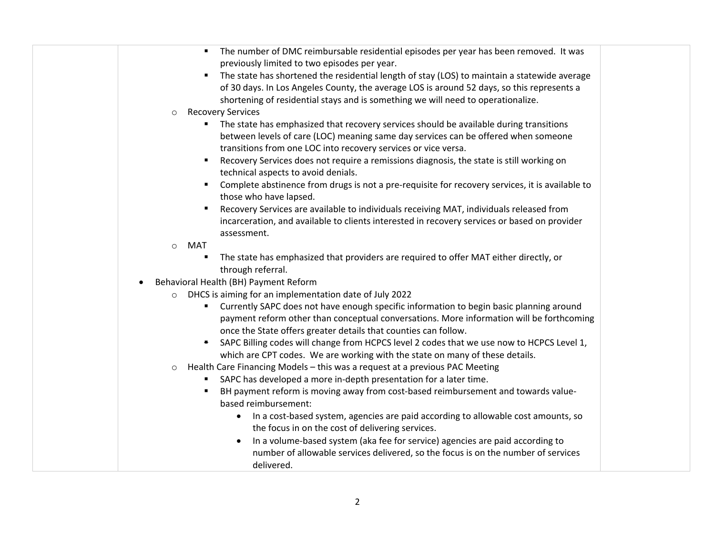| The number of DMC reimbursable residential episodes per year has been removed. It was<br>٠<br>previously limited to two episodes per year. |  |
|--------------------------------------------------------------------------------------------------------------------------------------------|--|
| • The state has shortened the residential length of stay (LOS) to maintain a statewide average                                             |  |
| of 30 days. In Los Angeles County, the average LOS is around 52 days, so this represents a                                                 |  |
| shortening of residential stays and is something we will need to operationalize.                                                           |  |
| <b>Recovery Services</b><br>$\circ$                                                                                                        |  |
| The state has emphasized that recovery services should be available during transitions                                                     |  |
| between levels of care (LOC) meaning same day services can be offered when someone                                                         |  |
| transitions from one LOC into recovery services or vice versa.                                                                             |  |
| Recovery Services does not require a remissions diagnosis, the state is still working on<br>٠                                              |  |
| technical aspects to avoid denials.                                                                                                        |  |
| Complete abstinence from drugs is not a pre-requisite for recovery services, it is available to                                            |  |
| those who have lapsed.                                                                                                                     |  |
| Recovery Services are available to individuals receiving MAT, individuals released from                                                    |  |
| incarceration, and available to clients interested in recovery services or based on provider                                               |  |
| assessment.                                                                                                                                |  |
| MAT<br>$\circ$                                                                                                                             |  |
| The state has emphasized that providers are required to offer MAT either directly, or                                                      |  |
| through referral.                                                                                                                          |  |
| Behavioral Health (BH) Payment Reform                                                                                                      |  |
| DHCS is aiming for an implementation date of July 2022<br>$\circ$                                                                          |  |
| Currently SAPC does not have enough specific information to begin basic planning around                                                    |  |
| payment reform other than conceptual conversations. More information will be forthcoming                                                   |  |
| once the State offers greater details that counties can follow.                                                                            |  |
| SAPC Billing codes will change from HCPCS level 2 codes that we use now to HCPCS Level 1,<br>$\blacksquare$                                |  |
| which are CPT codes. We are working with the state on many of these details.                                                               |  |
| Health Care Financing Models - this was a request at a previous PAC Meeting<br>$\circ$                                                     |  |
| SAPC has developed a more in-depth presentation for a later time.                                                                          |  |
| BH payment reform is moving away from cost-based reimbursement and towards value-                                                          |  |
| based reimbursement:                                                                                                                       |  |
| In a cost-based system, agencies are paid according to allowable cost amounts, so<br>$\bullet$                                             |  |
| the focus in on the cost of delivering services.                                                                                           |  |
| In a volume-based system (aka fee for service) agencies are paid according to<br>$\bullet$                                                 |  |
| number of allowable services delivered, so the focus is on the number of services                                                          |  |
|                                                                                                                                            |  |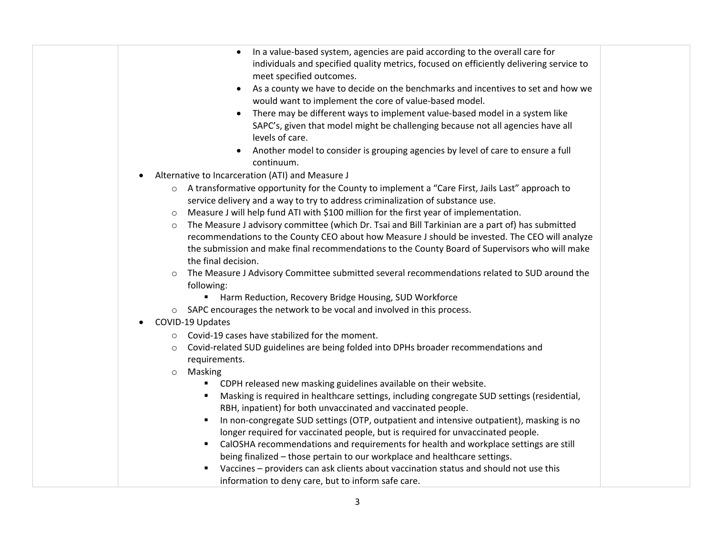| In a value-based system, agencies are paid according to the overall care for<br>individuals and specified quality metrics, focused on efficiently delivering service to<br>meet specified outcomes. |  |
|-----------------------------------------------------------------------------------------------------------------------------------------------------------------------------------------------------|--|
| As a county we have to decide on the benchmarks and incentives to set and how we<br>would want to implement the core of value-based model.                                                          |  |
| There may be different ways to implement value-based model in a system like<br>SAPC's, given that model might be challenging because not all agencies have all<br>levels of care.                   |  |
| Another model to consider is grouping agencies by level of care to ensure a full                                                                                                                    |  |
| continuum.                                                                                                                                                                                          |  |
| Alternative to Incarceration (ATI) and Measure J<br>$\bullet$                                                                                                                                       |  |
| A transformative opportunity for the County to implement a "Care First, Jails Last" approach to<br>$\circ$                                                                                          |  |
| service delivery and a way to try to address criminalization of substance use.                                                                                                                      |  |
| Measure J will help fund ATI with \$100 million for the first year of implementation.<br>$\circ$                                                                                                    |  |
| The Measure J advisory committee (which Dr. Tsai and Bill Tarkinian are a part of) has submitted<br>$\circ$                                                                                         |  |
| recommendations to the County CEO about how Measure J should be invested. The CEO will analyze                                                                                                      |  |
| the submission and make final recommendations to the County Board of Supervisors who will make<br>the final decision.                                                                               |  |
| The Measure J Advisory Committee submitted several recommendations related to SUD around the                                                                                                        |  |
| following:                                                                                                                                                                                          |  |
| Harm Reduction, Recovery Bridge Housing, SUD Workforce<br>٠                                                                                                                                         |  |
| o SAPC encourages the network to be vocal and involved in this process.                                                                                                                             |  |
| COVID-19 Updates<br>$\bullet$                                                                                                                                                                       |  |
| Covid-19 cases have stabilized for the moment.                                                                                                                                                      |  |
| Covid-related SUD guidelines are being folded into DPHs broader recommendations and<br>$\circ$                                                                                                      |  |
| requirements.                                                                                                                                                                                       |  |
| Masking<br>$\circ$                                                                                                                                                                                  |  |
| CDPH released new masking guidelines available on their website.<br>٠                                                                                                                               |  |
| Masking is required in healthcare settings, including congregate SUD settings (residential,<br>RBH, inpatient) for both unvaccinated and vaccinated people.                                         |  |
| In non-congregate SUD settings (OTP, outpatient and intensive outpatient), masking is no<br>٠                                                                                                       |  |
| longer required for vaccinated people, but is required for unvaccinated people.                                                                                                                     |  |
| CalOSHA recommendations and requirements for health and workplace settings are still<br>٠                                                                                                           |  |
| being finalized - those pertain to our workplace and healthcare settings.                                                                                                                           |  |
| Vaccines - providers can ask clients about vaccination status and should not use this                                                                                                               |  |
| information to deny care, but to inform safe care.                                                                                                                                                  |  |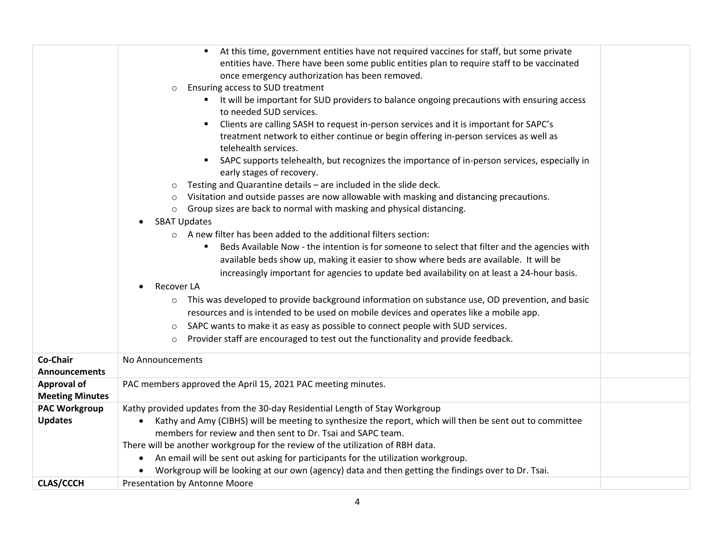|                                              | At this time, government entities have not required vaccines for staff, but some private<br>٠<br>entities have. There have been some public entities plan to require staff to be vaccinated<br>once emergency authorization has been removed.<br>Ensuring access to SUD treatment<br>$\circ$<br>" It will be important for SUD providers to balance ongoing precautions with ensuring access<br>to needed SUD services.<br>Clients are calling SASH to request in-person services and it is important for SAPC's<br>treatment network to either continue or begin offering in-person services as well as<br>telehealth services.<br>SAPC supports telehealth, but recognizes the importance of in-person services, especially in<br>early stages of recovery.<br>Testing and Quarantine details - are included in the slide deck.<br>Visitation and outside passes are now allowable with masking and distancing precautions.<br>$\circ$<br>Group sizes are back to normal with masking and physical distancing.<br>$\circ$<br><b>SBAT Updates</b><br>$\bullet$<br>A new filter has been added to the additional filters section:<br>Beds Available Now - the intention is for someone to select that filter and the agencies with<br>available beds show up, making it easier to show where beds are available. It will be<br>increasingly important for agencies to update bed availability on at least a 24-hour basis.<br>Recover LA<br>This was developed to provide background information on substance use, OD prevention, and basic<br>$\circ$<br>resources and is intended to be used on mobile devices and operates like a mobile app.<br>SAPC wants to make it as easy as possible to connect people with SUD services.<br>$\circ$<br>Provider staff are encouraged to test out the functionality and provide feedback. |  |
|----------------------------------------------|------------------------------------------------------------------------------------------------------------------------------------------------------------------------------------------------------------------------------------------------------------------------------------------------------------------------------------------------------------------------------------------------------------------------------------------------------------------------------------------------------------------------------------------------------------------------------------------------------------------------------------------------------------------------------------------------------------------------------------------------------------------------------------------------------------------------------------------------------------------------------------------------------------------------------------------------------------------------------------------------------------------------------------------------------------------------------------------------------------------------------------------------------------------------------------------------------------------------------------------------------------------------------------------------------------------------------------------------------------------------------------------------------------------------------------------------------------------------------------------------------------------------------------------------------------------------------------------------------------------------------------------------------------------------------------------------------------------------------------------------------------------------------------------------------------------------------------|--|
| <b>Co-Chair</b><br><b>Announcements</b>      | No Announcements                                                                                                                                                                                                                                                                                                                                                                                                                                                                                                                                                                                                                                                                                                                                                                                                                                                                                                                                                                                                                                                                                                                                                                                                                                                                                                                                                                                                                                                                                                                                                                                                                                                                                                                                                                                                                   |  |
| <b>Approval of</b><br><b>Meeting Minutes</b> | PAC members approved the April 15, 2021 PAC meeting minutes.                                                                                                                                                                                                                                                                                                                                                                                                                                                                                                                                                                                                                                                                                                                                                                                                                                                                                                                                                                                                                                                                                                                                                                                                                                                                                                                                                                                                                                                                                                                                                                                                                                                                                                                                                                       |  |
| <b>PAC Workgroup</b>                         | Kathy provided updates from the 30-day Residential Length of Stay Workgroup                                                                                                                                                                                                                                                                                                                                                                                                                                                                                                                                                                                                                                                                                                                                                                                                                                                                                                                                                                                                                                                                                                                                                                                                                                                                                                                                                                                                                                                                                                                                                                                                                                                                                                                                                        |  |
| <b>Updates</b>                               | Kathy and Amy (CIBHS) will be meeting to synthesize the report, which will then be sent out to committee<br>$\bullet$                                                                                                                                                                                                                                                                                                                                                                                                                                                                                                                                                                                                                                                                                                                                                                                                                                                                                                                                                                                                                                                                                                                                                                                                                                                                                                                                                                                                                                                                                                                                                                                                                                                                                                              |  |
|                                              | members for review and then sent to Dr. Tsai and SAPC team.                                                                                                                                                                                                                                                                                                                                                                                                                                                                                                                                                                                                                                                                                                                                                                                                                                                                                                                                                                                                                                                                                                                                                                                                                                                                                                                                                                                                                                                                                                                                                                                                                                                                                                                                                                        |  |
|                                              | There will be another workgroup for the review of the utilization of RBH data.                                                                                                                                                                                                                                                                                                                                                                                                                                                                                                                                                                                                                                                                                                                                                                                                                                                                                                                                                                                                                                                                                                                                                                                                                                                                                                                                                                                                                                                                                                                                                                                                                                                                                                                                                     |  |
|                                              | An email will be sent out asking for participants for the utilization workgroup.<br>$\bullet$                                                                                                                                                                                                                                                                                                                                                                                                                                                                                                                                                                                                                                                                                                                                                                                                                                                                                                                                                                                                                                                                                                                                                                                                                                                                                                                                                                                                                                                                                                                                                                                                                                                                                                                                      |  |
|                                              | Workgroup will be looking at our own (agency) data and then getting the findings over to Dr. Tsai.                                                                                                                                                                                                                                                                                                                                                                                                                                                                                                                                                                                                                                                                                                                                                                                                                                                                                                                                                                                                                                                                                                                                                                                                                                                                                                                                                                                                                                                                                                                                                                                                                                                                                                                                 |  |
| <b>CLAS/CCCH</b>                             | Presentation by Antonne Moore                                                                                                                                                                                                                                                                                                                                                                                                                                                                                                                                                                                                                                                                                                                                                                                                                                                                                                                                                                                                                                                                                                                                                                                                                                                                                                                                                                                                                                                                                                                                                                                                                                                                                                                                                                                                      |  |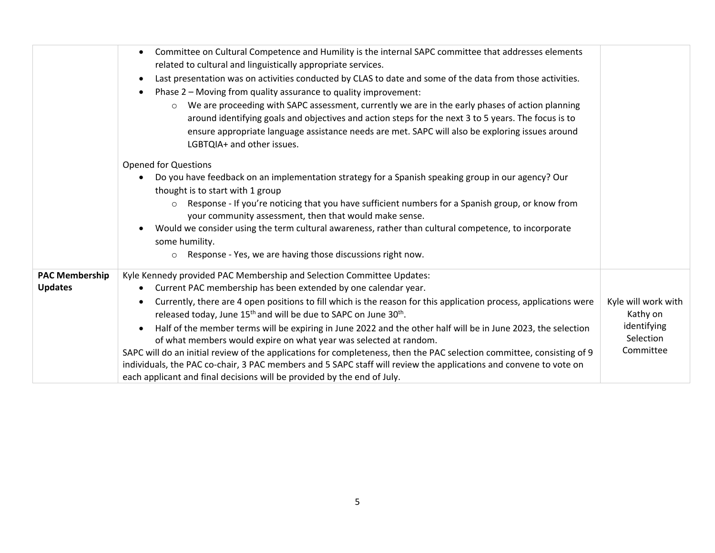|                                         | Committee on Cultural Competence and Humility is the internal SAPC committee that addresses elements<br>related to cultural and linguistically appropriate services.<br>Last presentation was on activities conducted by CLAS to date and some of the data from those activities.<br>$\bullet$<br>Phase 2 - Moving from quality assurance to quality improvement:<br>$\bullet$<br>We are proceeding with SAPC assessment, currently we are in the early phases of action planning<br>$\circ$<br>around identifying goals and objectives and action steps for the next 3 to 5 years. The focus is to<br>ensure appropriate language assistance needs are met. SAPC will also be exploring issues around<br>LGBTQIA+ and other issues.                                                                                                                                                  |                                                                          |
|-----------------------------------------|---------------------------------------------------------------------------------------------------------------------------------------------------------------------------------------------------------------------------------------------------------------------------------------------------------------------------------------------------------------------------------------------------------------------------------------------------------------------------------------------------------------------------------------------------------------------------------------------------------------------------------------------------------------------------------------------------------------------------------------------------------------------------------------------------------------------------------------------------------------------------------------|--------------------------------------------------------------------------|
|                                         | <b>Opened for Questions</b><br>Do you have feedback on an implementation strategy for a Spanish speaking group in our agency? Our<br>$\bullet$<br>thought is to start with 1 group<br>Response - If you're noticing that you have sufficient numbers for a Spanish group, or know from<br>$\circ$<br>your community assessment, then that would make sense.<br>Would we consider using the term cultural awareness, rather than cultural competence, to incorporate<br>some humility.<br>Response - Yes, we are having those discussions right now.<br>$\circ$                                                                                                                                                                                                                                                                                                                        |                                                                          |
| <b>PAC Membership</b><br><b>Updates</b> | Kyle Kennedy provided PAC Membership and Selection Committee Updates:<br>Current PAC membership has been extended by one calendar year.<br>Currently, there are 4 open positions to fill which is the reason for this application process, applications were<br>released today, June 15 <sup>th</sup> and will be due to SAPC on June 30 <sup>th</sup> .<br>Half of the member terms will be expiring in June 2022 and the other half will be in June 2023, the selection<br>$\bullet$<br>of what members would expire on what year was selected at random.<br>SAPC will do an initial review of the applications for completeness, then the PAC selection committee, consisting of 9<br>individuals, the PAC co-chair, 3 PAC members and 5 SAPC staff will review the applications and convene to vote on<br>each applicant and final decisions will be provided by the end of July. | Kyle will work with<br>Kathy on<br>identifying<br>Selection<br>Committee |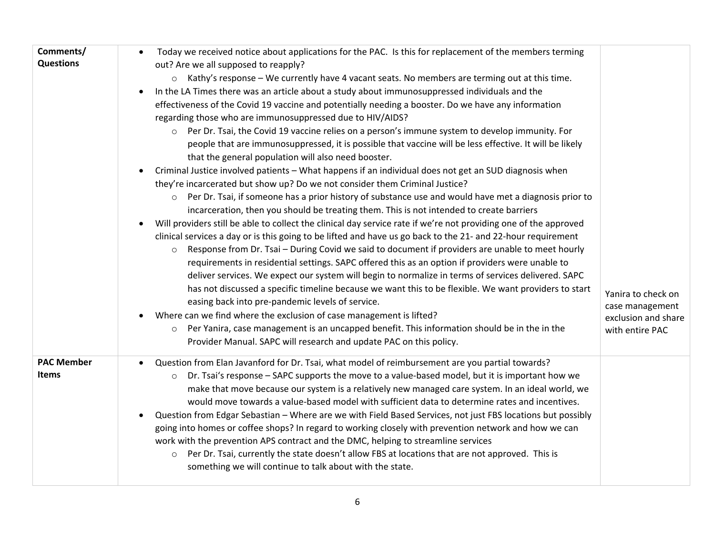| Comments/<br><b>Questions</b>     | Today we received notice about applications for the PAC. Is this for replacement of the members terming<br>$\bullet$<br>out? Are we all supposed to reapply?<br>o Kathy's response - We currently have 4 vacant seats. No members are terming out at this time.<br>In the LA Times there was an article about a study about immunosuppressed individuals and the<br>$\bullet$<br>effectiveness of the Covid 19 vaccine and potentially needing a booster. Do we have any information<br>regarding those who are immunosuppressed due to HIV/AIDS?<br>○ Per Dr. Tsai, the Covid 19 vaccine relies on a person's immune system to develop immunity. For<br>people that are immunosuppressed, it is possible that vaccine will be less effective. It will be likely<br>that the general population will also need booster.<br>Criminal Justice involved patients - What happens if an individual does not get an SUD diagnosis when<br>$\bullet$<br>they're incarcerated but show up? Do we not consider them Criminal Justice?<br>Per Dr. Tsai, if someone has a prior history of substance use and would have met a diagnosis prior to<br>$\circ$<br>incarceration, then you should be treating them. This is not intended to create barriers<br>Will providers still be able to collect the clinical day service rate if we're not providing one of the approved<br>clinical services a day or is this going to be lifted and have us go back to the 21- and 22-hour requirement<br>Response from Dr. Tsai - During Covid we said to document if providers are unable to meet hourly<br>requirements in residential settings. SAPC offered this as an option if providers were unable to<br>deliver services. We expect our system will begin to normalize in terms of services delivered. SAPC<br>has not discussed a specific timeline because we want this to be flexible. We want providers to start<br>easing back into pre-pandemic levels of service.<br>Where can we find where the exclusion of case management is lifted?<br>Per Yanira, case management is an uncapped benefit. This information should be in the in the<br>$\circ$<br>Provider Manual. SAPC will research and update PAC on this policy. | Yanira to check on<br>case management<br>exclusion and share<br>with entire PAC |
|-----------------------------------|----------------------------------------------------------------------------------------------------------------------------------------------------------------------------------------------------------------------------------------------------------------------------------------------------------------------------------------------------------------------------------------------------------------------------------------------------------------------------------------------------------------------------------------------------------------------------------------------------------------------------------------------------------------------------------------------------------------------------------------------------------------------------------------------------------------------------------------------------------------------------------------------------------------------------------------------------------------------------------------------------------------------------------------------------------------------------------------------------------------------------------------------------------------------------------------------------------------------------------------------------------------------------------------------------------------------------------------------------------------------------------------------------------------------------------------------------------------------------------------------------------------------------------------------------------------------------------------------------------------------------------------------------------------------------------------------------------------------------------------------------------------------------------------------------------------------------------------------------------------------------------------------------------------------------------------------------------------------------------------------------------------------------------------------------------------------------------------------------------------------------------------------------------------------------------------------------------------------|---------------------------------------------------------------------------------|
| <b>PAC Member</b><br><b>Items</b> | Question from Elan Javanford for Dr. Tsai, what model of reimbursement are you partial towards?<br>Dr. Tsai's response - SAPC supports the move to a value-based model, but it is important how we<br>$\circ$<br>make that move because our system is a relatively new managed care system. In an ideal world, we<br>would move towards a value-based model with sufficient data to determine rates and incentives.<br>Question from Edgar Sebastian - Where are we with Field Based Services, not just FBS locations but possibly<br>$\bullet$<br>going into homes or coffee shops? In regard to working closely with prevention network and how we can<br>work with the prevention APS contract and the DMC, helping to streamline services<br>Per Dr. Tsai, currently the state doesn't allow FBS at locations that are not approved. This is<br>$\circ$<br>something we will continue to talk about with the state.                                                                                                                                                                                                                                                                                                                                                                                                                                                                                                                                                                                                                                                                                                                                                                                                                                                                                                                                                                                                                                                                                                                                                                                                                                                                                              |                                                                                 |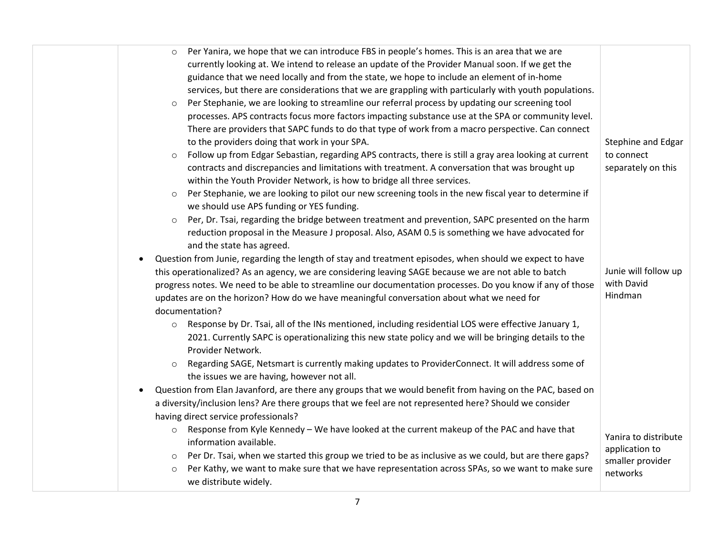| $\circ$ | Per Yanira, we hope that we can introduce FBS in people's homes. This is an area that we are                                                                              |                                    |
|---------|---------------------------------------------------------------------------------------------------------------------------------------------------------------------------|------------------------------------|
|         | currently looking at. We intend to release an update of the Provider Manual soon. If we get the                                                                           |                                    |
|         | guidance that we need locally and from the state, we hope to include an element of in-home                                                                                |                                    |
|         | services, but there are considerations that we are grappling with particularly with youth populations.                                                                    |                                    |
|         | Per Stephanie, we are looking to streamline our referral process by updating our screening tool                                                                           |                                    |
|         | processes. APS contracts focus more factors impacting substance use at the SPA or community level.                                                                        |                                    |
|         | There are providers that SAPC funds to do that type of work from a macro perspective. Can connect                                                                         |                                    |
|         | to the providers doing that work in your SPA.                                                                                                                             | Stephine and Edgar                 |
|         | Follow up from Edgar Sebastian, regarding APS contracts, there is still a gray area looking at current                                                                    | to connect                         |
|         | contracts and discrepancies and limitations with treatment. A conversation that was brought up<br>within the Youth Provider Network, is how to bridge all three services. | separately on this                 |
| $\circ$ | Per Stephanie, we are looking to pilot our new screening tools in the new fiscal year to determine if                                                                     |                                    |
|         | we should use APS funding or YES funding.                                                                                                                                 |                                    |
| $\circ$ | Per, Dr. Tsai, regarding the bridge between treatment and prevention, SAPC presented on the harm                                                                          |                                    |
|         | reduction proposal in the Measure J proposal. Also, ASAM 0.5 is something we have advocated for                                                                           |                                    |
|         | and the state has agreed.                                                                                                                                                 |                                    |
|         | Question from Junie, regarding the length of stay and treatment episodes, when should we expect to have                                                                   |                                    |
|         | this operationalized? As an agency, we are considering leaving SAGE because we are not able to batch                                                                      | Junie will follow up               |
|         | progress notes. We need to be able to streamline our documentation processes. Do you know if any of those                                                                 | with David                         |
|         | updates are on the horizon? How do we have meaningful conversation about what we need for                                                                                 | Hindman                            |
|         | documentation?                                                                                                                                                            |                                    |
| $\circ$ | Response by Dr. Tsai, all of the INs mentioned, including residential LOS were effective January 1,                                                                       |                                    |
|         | 2021. Currently SAPC is operationalizing this new state policy and we will be bringing details to the<br>Provider Network.                                                |                                    |
| $\circ$ | Regarding SAGE, Netsmart is currently making updates to ProviderConnect. It will address some of                                                                          |                                    |
|         | the issues we are having, however not all.                                                                                                                                |                                    |
|         | Question from Elan Javanford, are there any groups that we would benefit from having on the PAC, based on                                                                 |                                    |
|         | a diversity/inclusion lens? Are there groups that we feel are not represented here? Should we consider                                                                    |                                    |
|         | having direct service professionals?                                                                                                                                      |                                    |
|         | Response from Kyle Kennedy - We have looked at the current makeup of the PAC and have that<br>information available.                                                      | Yanira to distribute               |
| $\circ$ | Per Dr. Tsai, when we started this group we tried to be as inclusive as we could, but are there gaps?                                                                     | application to<br>smaller provider |
| $\circ$ | Per Kathy, we want to make sure that we have representation across SPAs, so we want to make sure<br>we distribute widely.                                                 | networks                           |
|         |                                                                                                                                                                           |                                    |